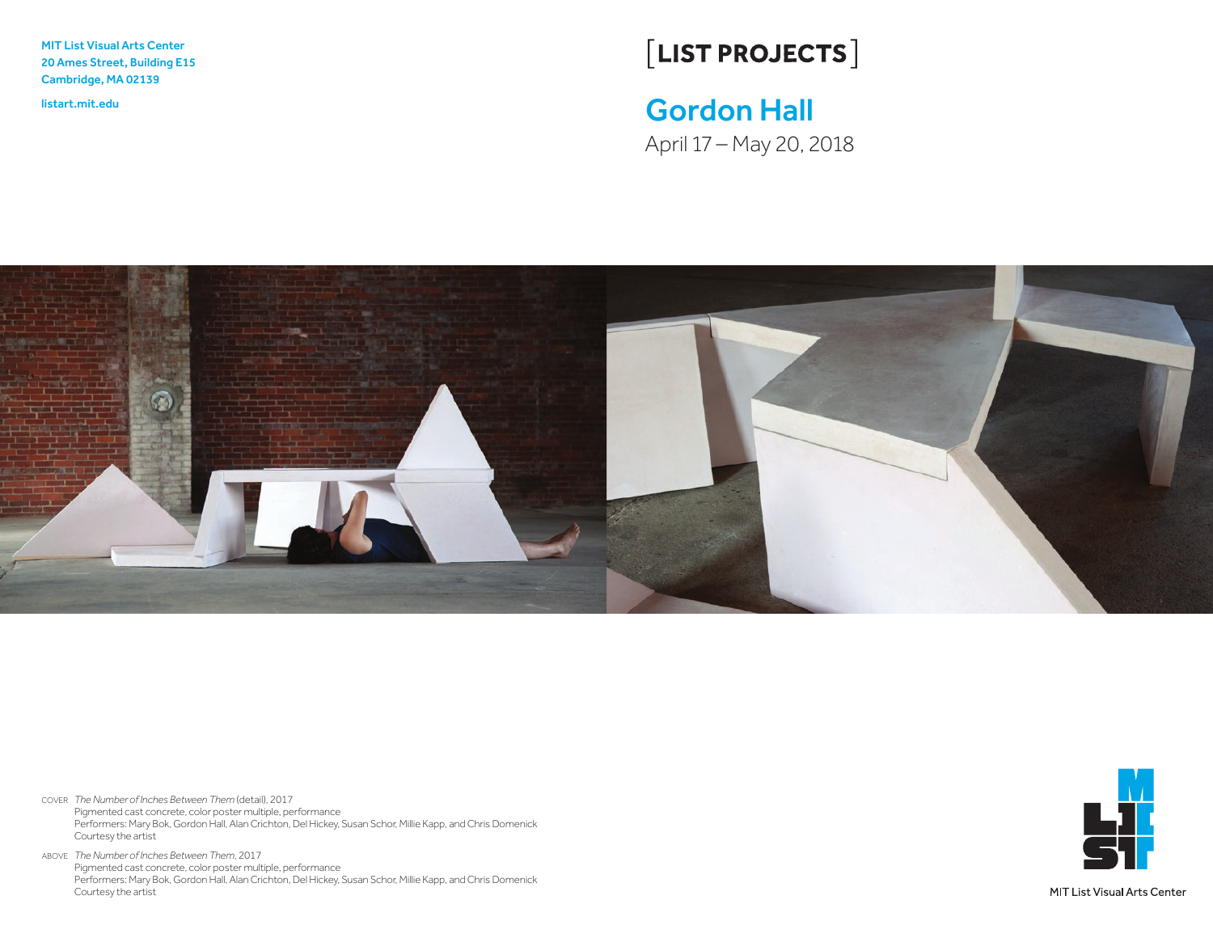MIT List Visual Arts Center 20 Ames Street, Building E15 Cambridge, MA 02139

# $[LIST PROJECTS]$

# <listart.mit.edu>Gordon Hall

April 17 – May 20, 2018



COVER *The Number of Inches Between Them* (detail), 2017 Pigmented cast concrete, color poster multiple, performance Performers: Mary Bok, Gordon Hall, Alan Crichton, Del Hickey, Susan Schor, Millie Kapp, and Chris Domenick Courtesy the artist

ABOVE *The Number of Inches Between Them*, 2017 Pigmented cast concrete, color poster multiple, performance Performers: Mary Bok, Gordon Hall, Alan Crichton, Del Hickey, Susan Schor, Millie Kapp, and Chris Domenick Courtesy the artist